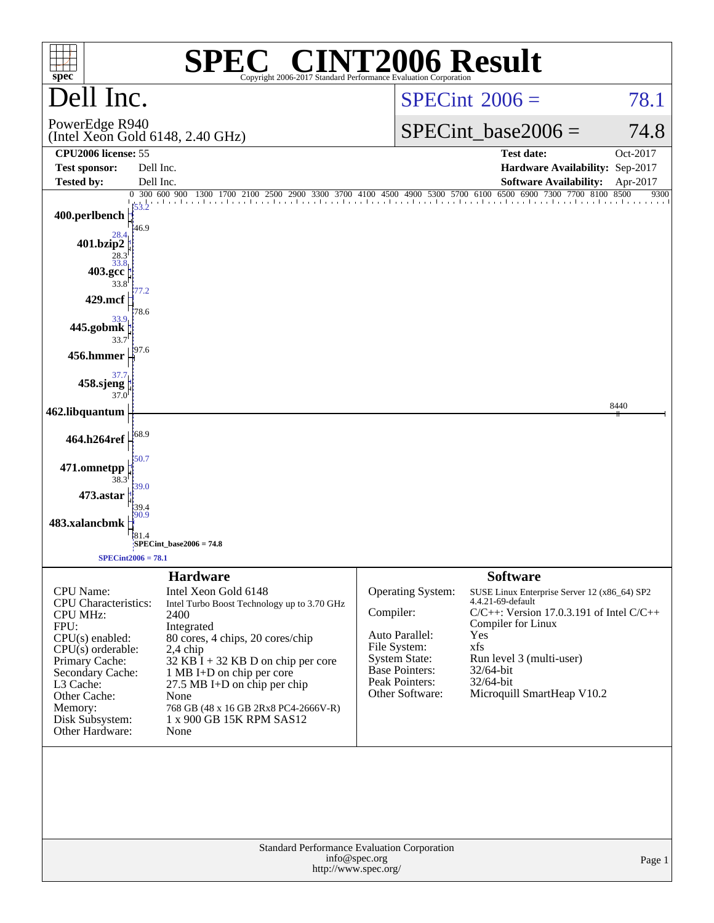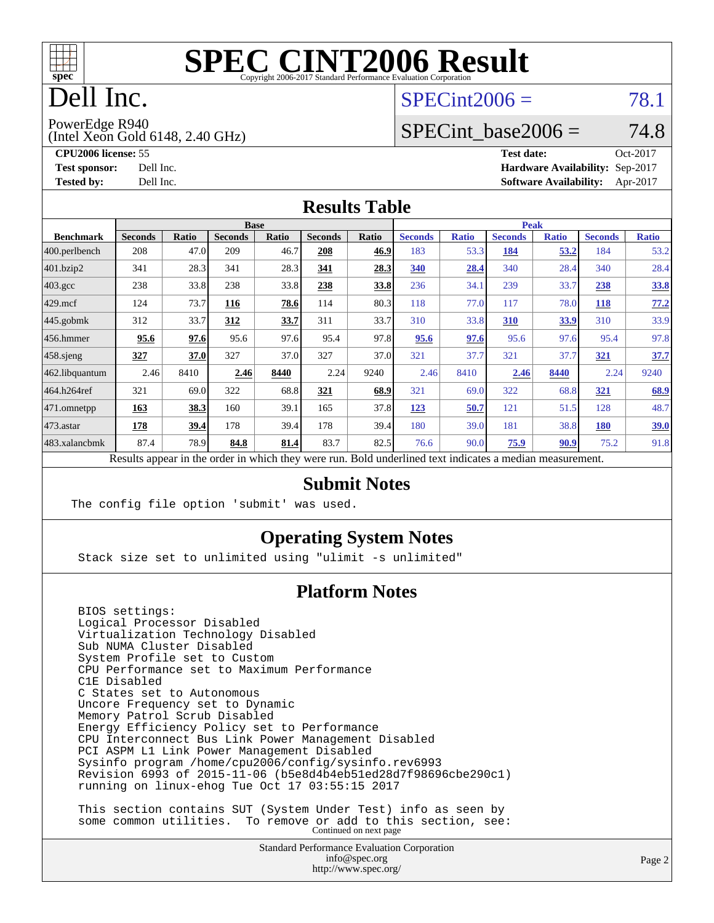

# Dell Inc.

### $SPECint2006 = 78.1$  $SPECint2006 = 78.1$

PowerEdge R940

(Intel Xeon Gold 6148, 2.40 GHz)

SPECint base2006 =  $74.8$ 

**[CPU2006 license:](http://www.spec.org/auto/cpu2006/Docs/result-fields.html#CPU2006license)** 55 **[Test date:](http://www.spec.org/auto/cpu2006/Docs/result-fields.html#Testdate)** Oct-2017 **[Test sponsor:](http://www.spec.org/auto/cpu2006/Docs/result-fields.html#Testsponsor)** Dell Inc. **[Hardware Availability:](http://www.spec.org/auto/cpu2006/Docs/result-fields.html#HardwareAvailability)** Sep-2017 **[Tested by:](http://www.spec.org/auto/cpu2006/Docs/result-fields.html#Testedby)** Dell Inc. **[Software Availability:](http://www.spec.org/auto/cpu2006/Docs/result-fields.html#SoftwareAvailability)** Apr-2017

### **[Results Table](http://www.spec.org/auto/cpu2006/Docs/result-fields.html#ResultsTable)**

|                                                                                                          | <b>Base</b>    |       |                |       |                |       | <b>Peak</b>    |              |                |              |                |              |
|----------------------------------------------------------------------------------------------------------|----------------|-------|----------------|-------|----------------|-------|----------------|--------------|----------------|--------------|----------------|--------------|
| <b>Benchmark</b>                                                                                         | <b>Seconds</b> | Ratio | <b>Seconds</b> | Ratio | <b>Seconds</b> | Ratio | <b>Seconds</b> | <b>Ratio</b> | <b>Seconds</b> | <b>Ratio</b> | <b>Seconds</b> | <b>Ratio</b> |
| $ 400$ .perlbench                                                                                        | 208            | 47.0  | 209            | 46.7  | 208            | 46.9  | 183            | 53.3         | 184            | 53.2         | 184            | 53.2         |
| 401.bzip2                                                                                                | 341            | 28.3  | 341            | 28.3  | 341            | 28.3  | 340            | 28.4         | 340            | 28.4         | 340            | 28.4         |
| $403.\mathrm{gcc}$                                                                                       | 238            | 33.8  | 238            | 33.8  | 238            | 33.8  | 236            | 34.1         | 239            | 33.7         | 238            | <u>33.8</u>  |
| $429$ .mcf                                                                                               | 124            | 73.7  | 116            | 78.6  | 114            | 80.3  | 118            | 77.0         | 117            | 78.0         | <b>118</b>     | 77.2         |
| $445$ .gobmk                                                                                             | 312            | 33.7  | 312            | 33.7  | 311            | 33.7  | 310            | 33.8         | 310            | 33.9         | 310            | 33.9         |
| $456.$ hmmer                                                                                             | 95.6           | 97.6  | 95.6           | 97.6  | 95.4           | 97.8  | 95.6           | 97.6         | 95.6           | 97.6         | 95.4           | 97.8         |
| $458$ .sjeng                                                                                             | 327            | 37.0  | 327            | 37.0  | 327            | 37.0  | 321            | 37.7         | 321            | 37.7         | 321            | 37.7         |
| 462.libquantum                                                                                           | 2.46           | 8410  | 2.46           | 8440  | 2.24           | 9240  | 2.46           | 8410         | 2.46           | 8440         | 2.24           | 9240         |
| 464.h264ref                                                                                              | 321            | 69.0  | 322            | 68.8  | 321            | 68.9  | 321            | 69.0         | 322            | 68.8         | 321            | 68.9         |
| $ 471$ .omnetpp                                                                                          | 163            | 38.3  | 160            | 39.1  | 165            | 37.8  | 123            | 50.7         | 121            | 51.5         | 128            | 48.7         |
| $473.$ astar                                                                                             | 178            | 39.4  | 178            | 39.4  | 178            | 39.4  | 180            | 39.0         | 181            | 38.8         | 180            | <u>39.0</u>  |
| 483.xalancbmk                                                                                            | 87.4           | 78.9  | 84.8           | 81.4  | 83.7           | 82.5  | 76.6           | 90.0         | 75.9           | 90.9         | 75.2           | 91.8         |
| Results appear in the order in which they were run. Bold underlined text indicates a median measurement. |                |       |                |       |                |       |                |              |                |              |                |              |

#### **[Submit Notes](http://www.spec.org/auto/cpu2006/Docs/result-fields.html#SubmitNotes)**

The config file option 'submit' was used.

### **[Operating System Notes](http://www.spec.org/auto/cpu2006/Docs/result-fields.html#OperatingSystemNotes)**

Stack size set to unlimited using "ulimit -s unlimited"

### **[Platform Notes](http://www.spec.org/auto/cpu2006/Docs/result-fields.html#PlatformNotes)**

 BIOS settings: Logical Processor Disabled Virtualization Technology Disabled Sub NUMA Cluster Disabled System Profile set to Custom CPU Performance set to Maximum Performance C1E Disabled C States set to Autonomous Uncore Frequency set to Dynamic Memory Patrol Scrub Disabled Energy Efficiency Policy set to Performance CPU Interconnect Bus Link Power Management Disabled PCI ASPM L1 Link Power Management Disabled Sysinfo program /home/cpu2006/config/sysinfo.rev6993 Revision 6993 of 2015-11-06 (b5e8d4b4eb51ed28d7f98696cbe290c1) running on linux-ehog Tue Oct 17 03:55:15 2017 This section contains SUT (System Under Test) info as seen by

some common utilities. To remove or add to this section, see:<br>Continued on next page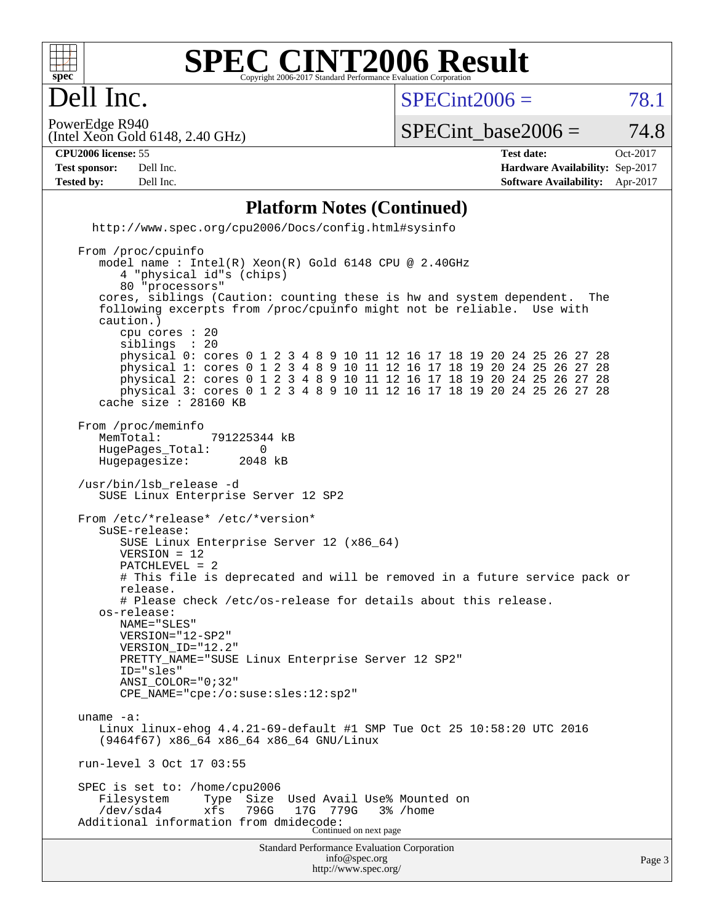

### **[SPEC CINT2006 Result](http://www.spec.org/auto/cpu2006/Docs/result-fields.html#SPECCINT2006Result)** Copyright 2006-2017 Standard Performance Evaluation Corporation

 $SPECint2006 = 78.1$  $SPECint2006 = 78.1$ 

(Intel Xeon Gold 6148, 2.40 GHz) PowerEdge R940

SPECint base2006 =  $74.8$ 

Dell Inc.

**[CPU2006 license:](http://www.spec.org/auto/cpu2006/Docs/result-fields.html#CPU2006license)** 55 **[Test date:](http://www.spec.org/auto/cpu2006/Docs/result-fields.html#Testdate)** Oct-2017 **[Test sponsor:](http://www.spec.org/auto/cpu2006/Docs/result-fields.html#Testsponsor)** Dell Inc. **[Hardware Availability:](http://www.spec.org/auto/cpu2006/Docs/result-fields.html#HardwareAvailability)** Sep-2017 **[Tested by:](http://www.spec.org/auto/cpu2006/Docs/result-fields.html#Testedby)** Dell Inc. **[Software Availability:](http://www.spec.org/auto/cpu2006/Docs/result-fields.html#SoftwareAvailability)** Apr-2017

#### **[Platform Notes \(Continued\)](http://www.spec.org/auto/cpu2006/Docs/result-fields.html#PlatformNotes)**

Standard Performance Evaluation Corporation [info@spec.org](mailto:info@spec.org) <http://www.spec.org/> <http://www.spec.org/cpu2006/Docs/config.html#sysinfo> From /proc/cpuinfo model name : Intel(R) Xeon(R) Gold 6148 CPU @ 2.40GHz 4 "physical id"s (chips) 80 "processors" cores, siblings (Caution: counting these is hw and system dependent. The following excerpts from /proc/cpuinfo might not be reliable. Use with caution.) cpu cores : 20 siblings physical 0: cores 0 1 2 3 4 8 9 10 11 12 16 17 18 19 20 24 25 26 27 28 physical 1: cores 0 1 2 3 4 8 9 10 11 12 16 17 18 19 20 24 25 26 27 28 physical 2: cores 0 1 2 3 4 8 9 10 11 12 16 17 18 19 20 24 25 26 27 28 physical 3: cores 0 1 2 3 4 8 9 10 11 12 16 17 18 19 20 24 25 26 27 28 cache size : 28160 KB From /proc/meminfo MemTotal: 791225344 kB<br>HugePages Total: 0 HugePages\_Total: 0<br>Hugepagesize: 2048 kB Hugepagesize: /usr/bin/lsb\_release -d SUSE Linux Enterprise Server 12 SP2 From /etc/\*release\* /etc/\*version\* SuSE-release: SUSE Linux Enterprise Server 12 (x86\_64) VERSION = 12 PATCHLEVEL = 2 # This file is deprecated and will be removed in a future service pack or release. # Please check /etc/os-release for details about this release. os-release: NAME="SLES" VERSION="12-SP2" VERSION\_ID="12.2" PRETTY\_NAME="SUSE Linux Enterprise Server 12 SP2" ID="sles" ANSI\_COLOR="0;32" CPE\_NAME="cpe:/o:suse:sles:12:sp2" uname -a: Linux linux-ehog 4.4.21-69-default #1 SMP Tue Oct 25 10:58:20 UTC 2016 (9464f67) x86\_64 x86\_64 x86\_64 GNU/Linux run-level 3 Oct 17 03:55 SPEC is set to: /home/cpu2006<br>Filesystem Type Size Used Avail Use% Mounted on /dev/sda4 xfs 796G 17G 779G 3% /home Additional information from dmidecode: Continued on next page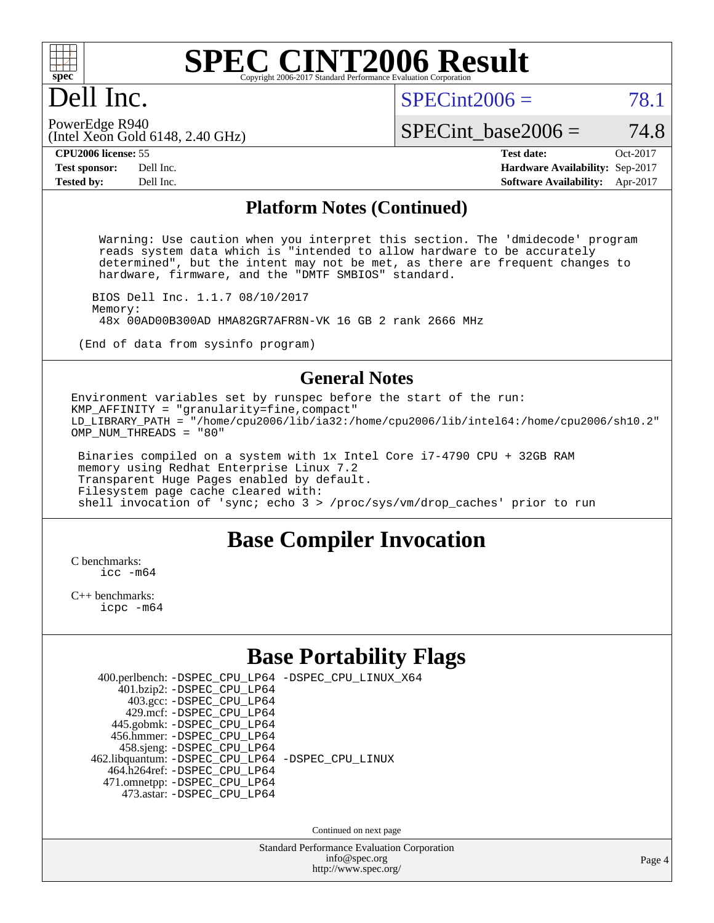

# Dell Inc.

 $SPECint2006 = 78.1$  $SPECint2006 = 78.1$ 

(Intel Xeon Gold 6148, 2.40 GHz) PowerEdge R940

SPECint base2006 =  $74.8$ 

**[CPU2006 license:](http://www.spec.org/auto/cpu2006/Docs/result-fields.html#CPU2006license)** 55 **[Test date:](http://www.spec.org/auto/cpu2006/Docs/result-fields.html#Testdate)** Oct-2017 **[Test sponsor:](http://www.spec.org/auto/cpu2006/Docs/result-fields.html#Testsponsor)** Dell Inc. **[Hardware Availability:](http://www.spec.org/auto/cpu2006/Docs/result-fields.html#HardwareAvailability)** Sep-2017 **[Tested by:](http://www.spec.org/auto/cpu2006/Docs/result-fields.html#Testedby)** Dell Inc. **[Software Availability:](http://www.spec.org/auto/cpu2006/Docs/result-fields.html#SoftwareAvailability)** Apr-2017

#### **[Platform Notes \(Continued\)](http://www.spec.org/auto/cpu2006/Docs/result-fields.html#PlatformNotes)**

 Warning: Use caution when you interpret this section. The 'dmidecode' program reads system data which is "intended to allow hardware to be accurately determined", but the intent may not be met, as there are frequent changes to hardware, firmware, and the "DMTF SMBIOS" standard.

 BIOS Dell Inc. 1.1.7 08/10/2017 Memory: 48x 00AD00B300AD HMA82GR7AFR8N-VK 16 GB 2 rank 2666 MHz

(End of data from sysinfo program)

### **[General Notes](http://www.spec.org/auto/cpu2006/Docs/result-fields.html#GeneralNotes)**

Environment variables set by runspec before the start of the run: KMP\_AFFINITY = "granularity=fine,compact" LD\_LIBRARY\_PATH = "/home/cpu2006/lib/ia32:/home/cpu2006/lib/intel64:/home/cpu2006/sh10.2" OMP\_NUM\_THREADS = "80"

 Binaries compiled on a system with 1x Intel Core i7-4790 CPU + 32GB RAM memory using Redhat Enterprise Linux 7.2 Transparent Huge Pages enabled by default. Filesystem page cache cleared with: shell invocation of 'sync; echo 3 > /proc/sys/vm/drop\_caches' prior to run

### **[Base Compiler Invocation](http://www.spec.org/auto/cpu2006/Docs/result-fields.html#BaseCompilerInvocation)**

[C benchmarks](http://www.spec.org/auto/cpu2006/Docs/result-fields.html#Cbenchmarks): [icc -m64](http://www.spec.org/cpu2006/results/res2017q4/cpu2006-20171114-50576.flags.html#user_CCbase_intel_icc_64bit_bda6cc9af1fdbb0edc3795bac97ada53)

[C++ benchmarks:](http://www.spec.org/auto/cpu2006/Docs/result-fields.html#CXXbenchmarks) [icpc -m64](http://www.spec.org/cpu2006/results/res2017q4/cpu2006-20171114-50576.flags.html#user_CXXbase_intel_icpc_64bit_fc66a5337ce925472a5c54ad6a0de310)

### **[Base Portability Flags](http://www.spec.org/auto/cpu2006/Docs/result-fields.html#BasePortabilityFlags)**

| 400.perlbench: -DSPEC_CPU_LP64 -DSPEC_CPU_LINUX_X64 |  |  |
|-----------------------------------------------------|--|--|
| 401.bzip2: -DSPEC_CPU_LP64                          |  |  |
| 403.gcc: -DSPEC_CPU_LP64                            |  |  |
| 429.mcf: -DSPEC CPU LP64                            |  |  |
| 445.gobmk: -DSPEC_CPU_LP64                          |  |  |
| 456.hmmer: - DSPEC CPU LP64                         |  |  |
| 458.sjeng: -DSPEC_CPU_LP64                          |  |  |
| 462.libquantum: - DSPEC_CPU_LP64 - DSPEC_CPU_LINUX  |  |  |
| 464.h264ref: -DSPEC CPU LP64                        |  |  |
| 471.omnetpp: -DSPEC_CPU_LP64                        |  |  |
| 473.astar: - DSPEC CPU LP64                         |  |  |
|                                                     |  |  |

Continued on next page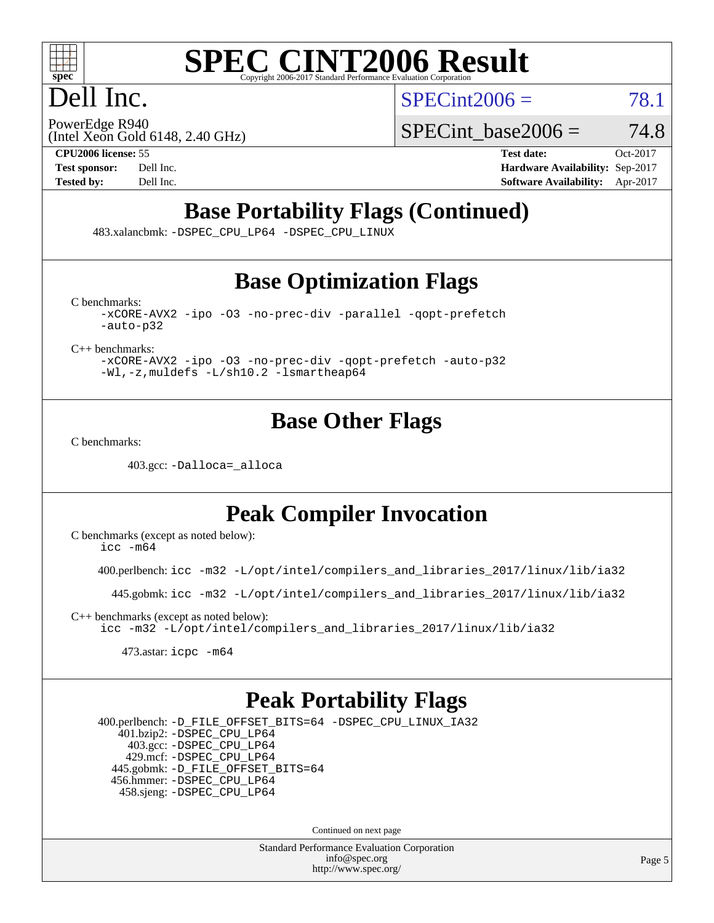

# Dell Inc.

 $SPECint2006 = 78.1$  $SPECint2006 = 78.1$ 

(Intel Xeon Gold 6148, 2.40 GHz) PowerEdge R940

SPECint base2006 =  $74.8$ 

**[CPU2006 license:](http://www.spec.org/auto/cpu2006/Docs/result-fields.html#CPU2006license)** 55 **[Test date:](http://www.spec.org/auto/cpu2006/Docs/result-fields.html#Testdate)** Oct-2017 **[Test sponsor:](http://www.spec.org/auto/cpu2006/Docs/result-fields.html#Testsponsor)** Dell Inc. **[Hardware Availability:](http://www.spec.org/auto/cpu2006/Docs/result-fields.html#HardwareAvailability)** Sep-2017 **[Tested by:](http://www.spec.org/auto/cpu2006/Docs/result-fields.html#Testedby)** Dell Inc. **[Software Availability:](http://www.spec.org/auto/cpu2006/Docs/result-fields.html#SoftwareAvailability)** Apr-2017

# **[Base Portability Flags \(Continued\)](http://www.spec.org/auto/cpu2006/Docs/result-fields.html#BasePortabilityFlags)**

483.xalancbmk: [-DSPEC\\_CPU\\_LP64](http://www.spec.org/cpu2006/results/res2017q4/cpu2006-20171114-50576.flags.html#suite_basePORTABILITY483_xalancbmk_DSPEC_CPU_LP64) [-DSPEC\\_CPU\\_LINUX](http://www.spec.org/cpu2006/results/res2017q4/cpu2006-20171114-50576.flags.html#b483.xalancbmk_baseCXXPORTABILITY_DSPEC_CPU_LINUX)

# **[Base Optimization Flags](http://www.spec.org/auto/cpu2006/Docs/result-fields.html#BaseOptimizationFlags)**

[C benchmarks](http://www.spec.org/auto/cpu2006/Docs/result-fields.html#Cbenchmarks):

[-xCORE-AVX2](http://www.spec.org/cpu2006/results/res2017q4/cpu2006-20171114-50576.flags.html#user_CCbase_f-xCORE-AVX2) [-ipo](http://www.spec.org/cpu2006/results/res2017q4/cpu2006-20171114-50576.flags.html#user_CCbase_f-ipo) [-O3](http://www.spec.org/cpu2006/results/res2017q4/cpu2006-20171114-50576.flags.html#user_CCbase_f-O3) [-no-prec-div](http://www.spec.org/cpu2006/results/res2017q4/cpu2006-20171114-50576.flags.html#user_CCbase_f-no-prec-div) [-parallel](http://www.spec.org/cpu2006/results/res2017q4/cpu2006-20171114-50576.flags.html#user_CCbase_f-parallel) [-qopt-prefetch](http://www.spec.org/cpu2006/results/res2017q4/cpu2006-20171114-50576.flags.html#user_CCbase_f-qopt-prefetch) [-auto-p32](http://www.spec.org/cpu2006/results/res2017q4/cpu2006-20171114-50576.flags.html#user_CCbase_f-auto-p32)

[C++ benchmarks:](http://www.spec.org/auto/cpu2006/Docs/result-fields.html#CXXbenchmarks)

[-xCORE-AVX2](http://www.spec.org/cpu2006/results/res2017q4/cpu2006-20171114-50576.flags.html#user_CXXbase_f-xCORE-AVX2) [-ipo](http://www.spec.org/cpu2006/results/res2017q4/cpu2006-20171114-50576.flags.html#user_CXXbase_f-ipo) [-O3](http://www.spec.org/cpu2006/results/res2017q4/cpu2006-20171114-50576.flags.html#user_CXXbase_f-O3) [-no-prec-div](http://www.spec.org/cpu2006/results/res2017q4/cpu2006-20171114-50576.flags.html#user_CXXbase_f-no-prec-div) [-qopt-prefetch](http://www.spec.org/cpu2006/results/res2017q4/cpu2006-20171114-50576.flags.html#user_CXXbase_f-qopt-prefetch) [-auto-p32](http://www.spec.org/cpu2006/results/res2017q4/cpu2006-20171114-50576.flags.html#user_CXXbase_f-auto-p32) [-Wl,-z,muldefs](http://www.spec.org/cpu2006/results/res2017q4/cpu2006-20171114-50576.flags.html#user_CXXbase_link_force_multiple1_74079c344b956b9658436fd1b6dd3a8a) [-L/sh10.2 -lsmartheap64](http://www.spec.org/cpu2006/results/res2017q4/cpu2006-20171114-50576.flags.html#user_CXXbase_SmartHeap64_63911d860fc08c15fa1d5bf319b9d8d5)

## **[Base Other Flags](http://www.spec.org/auto/cpu2006/Docs/result-fields.html#BaseOtherFlags)**

[C benchmarks](http://www.spec.org/auto/cpu2006/Docs/result-fields.html#Cbenchmarks):

403.gcc: [-Dalloca=\\_alloca](http://www.spec.org/cpu2006/results/res2017q4/cpu2006-20171114-50576.flags.html#b403.gcc_baseEXTRA_CFLAGS_Dalloca_be3056838c12de2578596ca5467af7f3)

# **[Peak Compiler Invocation](http://www.spec.org/auto/cpu2006/Docs/result-fields.html#PeakCompilerInvocation)**

[C benchmarks \(except as noted below\)](http://www.spec.org/auto/cpu2006/Docs/result-fields.html#Cbenchmarksexceptasnotedbelow):  $\text{icc } -\text{m64}$ 

400.perlbench: [icc -m32 -L/opt/intel/compilers\\_and\\_libraries\\_2017/linux/lib/ia32](http://www.spec.org/cpu2006/results/res2017q4/cpu2006-20171114-50576.flags.html#user_peakCCLD400_perlbench_intel_icc_c29f3ff5a7ed067b11e4ec10a03f03ae)

445.gobmk: [icc -m32 -L/opt/intel/compilers\\_and\\_libraries\\_2017/linux/lib/ia32](http://www.spec.org/cpu2006/results/res2017q4/cpu2006-20171114-50576.flags.html#user_peakCCLD445_gobmk_intel_icc_c29f3ff5a7ed067b11e4ec10a03f03ae)

[C++ benchmarks \(except as noted below\):](http://www.spec.org/auto/cpu2006/Docs/result-fields.html#CXXbenchmarksexceptasnotedbelow) [icc -m32 -L/opt/intel/compilers\\_and\\_libraries\\_2017/linux/lib/ia32](http://www.spec.org/cpu2006/results/res2017q4/cpu2006-20171114-50576.flags.html#user_CXXpeak_intel_icc_c29f3ff5a7ed067b11e4ec10a03f03ae)

473.astar: [icpc -m64](http://www.spec.org/cpu2006/results/res2017q4/cpu2006-20171114-50576.flags.html#user_peakCXXLD473_astar_intel_icpc_64bit_fc66a5337ce925472a5c54ad6a0de310)

## **[Peak Portability Flags](http://www.spec.org/auto/cpu2006/Docs/result-fields.html#PeakPortabilityFlags)**

 400.perlbench: [-D\\_FILE\\_OFFSET\\_BITS=64](http://www.spec.org/cpu2006/results/res2017q4/cpu2006-20171114-50576.flags.html#user_peakPORTABILITY400_perlbench_file_offset_bits_64_438cf9856305ebd76870a2c6dc2689ab) [-DSPEC\\_CPU\\_LINUX\\_IA32](http://www.spec.org/cpu2006/results/res2017q4/cpu2006-20171114-50576.flags.html#b400.perlbench_peakCPORTABILITY_DSPEC_CPU_LINUX_IA32) 401.bzip2: [-DSPEC\\_CPU\\_LP64](http://www.spec.org/cpu2006/results/res2017q4/cpu2006-20171114-50576.flags.html#suite_peakPORTABILITY401_bzip2_DSPEC_CPU_LP64) 403.gcc: [-DSPEC\\_CPU\\_LP64](http://www.spec.org/cpu2006/results/res2017q4/cpu2006-20171114-50576.flags.html#suite_peakPORTABILITY403_gcc_DSPEC_CPU_LP64) 429.mcf: [-DSPEC\\_CPU\\_LP64](http://www.spec.org/cpu2006/results/res2017q4/cpu2006-20171114-50576.flags.html#suite_peakPORTABILITY429_mcf_DSPEC_CPU_LP64) 445.gobmk: [-D\\_FILE\\_OFFSET\\_BITS=64](http://www.spec.org/cpu2006/results/res2017q4/cpu2006-20171114-50576.flags.html#user_peakPORTABILITY445_gobmk_file_offset_bits_64_438cf9856305ebd76870a2c6dc2689ab) 456.hmmer: [-DSPEC\\_CPU\\_LP64](http://www.spec.org/cpu2006/results/res2017q4/cpu2006-20171114-50576.flags.html#suite_peakPORTABILITY456_hmmer_DSPEC_CPU_LP64) 458.sjeng: [-DSPEC\\_CPU\\_LP64](http://www.spec.org/cpu2006/results/res2017q4/cpu2006-20171114-50576.flags.html#suite_peakPORTABILITY458_sjeng_DSPEC_CPU_LP64)

Continued on next page

Standard Performance Evaluation Corporation [info@spec.org](mailto:info@spec.org) <http://www.spec.org/>

Page 5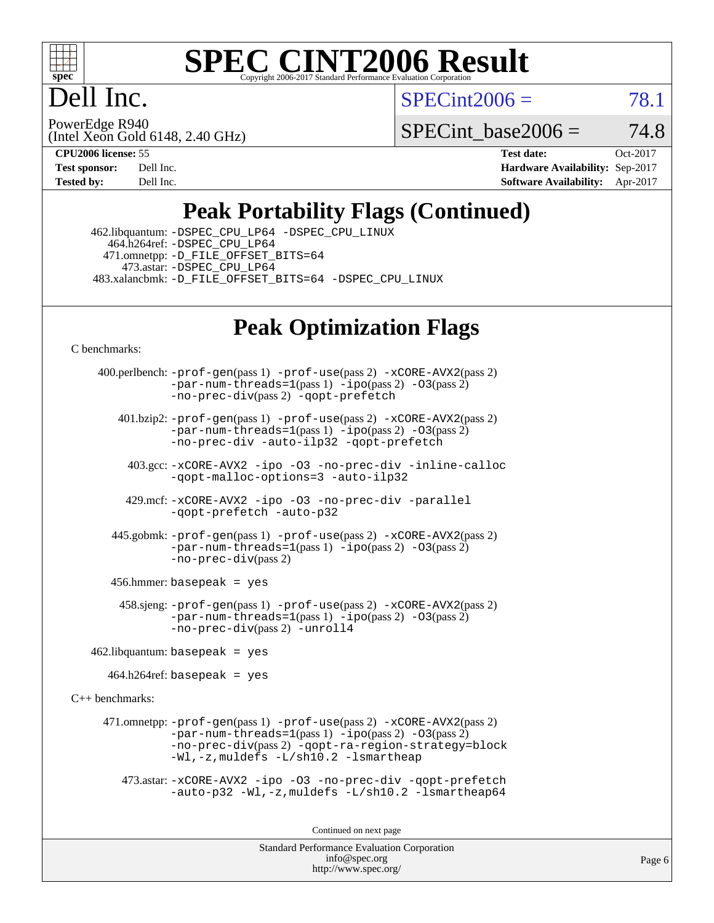

Dell Inc.

 $SPECint2006 = 78.1$  $SPECint2006 = 78.1$ 

(Intel Xeon Gold 6148, 2.40 GHz) PowerEdge R940

SPECint base2006 =  $74.8$ 

**[CPU2006 license:](http://www.spec.org/auto/cpu2006/Docs/result-fields.html#CPU2006license)** 55 **[Test date:](http://www.spec.org/auto/cpu2006/Docs/result-fields.html#Testdate)** Oct-2017 **[Test sponsor:](http://www.spec.org/auto/cpu2006/Docs/result-fields.html#Testsponsor)** Dell Inc. **[Hardware Availability:](http://www.spec.org/auto/cpu2006/Docs/result-fields.html#HardwareAvailability)** Sep-2017 **[Tested by:](http://www.spec.org/auto/cpu2006/Docs/result-fields.html#Testedby)** Dell Inc. **[Software Availability:](http://www.spec.org/auto/cpu2006/Docs/result-fields.html#SoftwareAvailability)** Apr-2017

# **[Peak Portability Flags \(Continued\)](http://www.spec.org/auto/cpu2006/Docs/result-fields.html#PeakPortabilityFlags)**

 462.libquantum: [-DSPEC\\_CPU\\_LP64](http://www.spec.org/cpu2006/results/res2017q4/cpu2006-20171114-50576.flags.html#suite_peakPORTABILITY462_libquantum_DSPEC_CPU_LP64) [-DSPEC\\_CPU\\_LINUX](http://www.spec.org/cpu2006/results/res2017q4/cpu2006-20171114-50576.flags.html#b462.libquantum_peakCPORTABILITY_DSPEC_CPU_LINUX) 464.h264ref: [-DSPEC\\_CPU\\_LP64](http://www.spec.org/cpu2006/results/res2017q4/cpu2006-20171114-50576.flags.html#suite_peakPORTABILITY464_h264ref_DSPEC_CPU_LP64) 471.omnetpp: [-D\\_FILE\\_OFFSET\\_BITS=64](http://www.spec.org/cpu2006/results/res2017q4/cpu2006-20171114-50576.flags.html#user_peakPORTABILITY471_omnetpp_file_offset_bits_64_438cf9856305ebd76870a2c6dc2689ab) 473.astar: [-DSPEC\\_CPU\\_LP64](http://www.spec.org/cpu2006/results/res2017q4/cpu2006-20171114-50576.flags.html#suite_peakPORTABILITY473_astar_DSPEC_CPU_LP64) 483.xalancbmk: [-D\\_FILE\\_OFFSET\\_BITS=64](http://www.spec.org/cpu2006/results/res2017q4/cpu2006-20171114-50576.flags.html#user_peakPORTABILITY483_xalancbmk_file_offset_bits_64_438cf9856305ebd76870a2c6dc2689ab) [-DSPEC\\_CPU\\_LINUX](http://www.spec.org/cpu2006/results/res2017q4/cpu2006-20171114-50576.flags.html#b483.xalancbmk_peakCXXPORTABILITY_DSPEC_CPU_LINUX)

# **[Peak Optimization Flags](http://www.spec.org/auto/cpu2006/Docs/result-fields.html#PeakOptimizationFlags)**

[C benchmarks](http://www.spec.org/auto/cpu2006/Docs/result-fields.html#Cbenchmarks):

 400.perlbench: [-prof-gen](http://www.spec.org/cpu2006/results/res2017q4/cpu2006-20171114-50576.flags.html#user_peakPASS1_CFLAGSPASS1_LDCFLAGS400_perlbench_prof_gen_e43856698f6ca7b7e442dfd80e94a8fc)(pass 1) [-prof-use](http://www.spec.org/cpu2006/results/res2017q4/cpu2006-20171114-50576.flags.html#user_peakPASS2_CFLAGSPASS2_LDCFLAGS400_perlbench_prof_use_bccf7792157ff70d64e32fe3e1250b55)(pass 2) [-xCORE-AVX2](http://www.spec.org/cpu2006/results/res2017q4/cpu2006-20171114-50576.flags.html#user_peakPASS2_CFLAGSPASS2_LDCFLAGS400_perlbench_f-xCORE-AVX2)(pass 2)  $-par-num-threads=1(pass 1) -ipo(pass 2) -O3(pass 2)$  $-par-num-threads=1(pass 1) -ipo(pass 2) -O3(pass 2)$  $-par-num-threads=1(pass 1) -ipo(pass 2) -O3(pass 2)$  $-par-num-threads=1(pass 1) -ipo(pass 2) -O3(pass 2)$  $-par-num-threads=1(pass 1) -ipo(pass 2) -O3(pass 2)$  $-par-num-threads=1(pass 1) -ipo(pass 2) -O3(pass 2)$ [-no-prec-div](http://www.spec.org/cpu2006/results/res2017q4/cpu2006-20171114-50576.flags.html#user_peakPASS2_CFLAGSPASS2_LDCFLAGS400_perlbench_f-no-prec-div)(pass 2) [-qopt-prefetch](http://www.spec.org/cpu2006/results/res2017q4/cpu2006-20171114-50576.flags.html#user_peakCOPTIMIZE400_perlbench_f-qopt-prefetch) 401.bzip2: [-prof-gen](http://www.spec.org/cpu2006/results/res2017q4/cpu2006-20171114-50576.flags.html#user_peakPASS1_CFLAGSPASS1_LDCFLAGS401_bzip2_prof_gen_e43856698f6ca7b7e442dfd80e94a8fc)(pass 1) [-prof-use](http://www.spec.org/cpu2006/results/res2017q4/cpu2006-20171114-50576.flags.html#user_peakPASS2_CFLAGSPASS2_LDCFLAGS401_bzip2_prof_use_bccf7792157ff70d64e32fe3e1250b55)(pass 2) [-xCORE-AVX2](http://www.spec.org/cpu2006/results/res2017q4/cpu2006-20171114-50576.flags.html#user_peakPASS2_CFLAGSPASS2_LDCFLAGS401_bzip2_f-xCORE-AVX2)(pass 2) [-par-num-threads=1](http://www.spec.org/cpu2006/results/res2017q4/cpu2006-20171114-50576.flags.html#user_peakPASS1_CFLAGSPASS1_LDCFLAGS401_bzip2_par_num_threads_786a6ff141b4e9e90432e998842df6c2)(pass 1) [-ipo](http://www.spec.org/cpu2006/results/res2017q4/cpu2006-20171114-50576.flags.html#user_peakPASS2_CFLAGSPASS2_LDCFLAGS401_bzip2_f-ipo)(pass 2) [-O3](http://www.spec.org/cpu2006/results/res2017q4/cpu2006-20171114-50576.flags.html#user_peakPASS2_CFLAGSPASS2_LDCFLAGS401_bzip2_f-O3)(pass 2) [-no-prec-div](http://www.spec.org/cpu2006/results/res2017q4/cpu2006-20171114-50576.flags.html#user_peakCOPTIMIZEPASS2_CFLAGSPASS2_LDCFLAGS401_bzip2_f-no-prec-div) [-auto-ilp32](http://www.spec.org/cpu2006/results/res2017q4/cpu2006-20171114-50576.flags.html#user_peakCOPTIMIZE401_bzip2_f-auto-ilp32) [-qopt-prefetch](http://www.spec.org/cpu2006/results/res2017q4/cpu2006-20171114-50576.flags.html#user_peakCOPTIMIZE401_bzip2_f-qopt-prefetch) 403.gcc: [-xCORE-AVX2](http://www.spec.org/cpu2006/results/res2017q4/cpu2006-20171114-50576.flags.html#user_peakOPTIMIZE403_gcc_f-xCORE-AVX2) [-ipo](http://www.spec.org/cpu2006/results/res2017q4/cpu2006-20171114-50576.flags.html#user_peakOPTIMIZE403_gcc_f-ipo) [-O3](http://www.spec.org/cpu2006/results/res2017q4/cpu2006-20171114-50576.flags.html#user_peakOPTIMIZE403_gcc_f-O3) [-no-prec-div](http://www.spec.org/cpu2006/results/res2017q4/cpu2006-20171114-50576.flags.html#user_peakOPTIMIZE403_gcc_f-no-prec-div) [-inline-calloc](http://www.spec.org/cpu2006/results/res2017q4/cpu2006-20171114-50576.flags.html#user_peakCOPTIMIZE403_gcc_f-inline-calloc) [-qopt-malloc-options=3](http://www.spec.org/cpu2006/results/res2017q4/cpu2006-20171114-50576.flags.html#user_peakCOPTIMIZE403_gcc_f-qopt-malloc-options_0fcb435012e78f27d57f473818e45fe4) [-auto-ilp32](http://www.spec.org/cpu2006/results/res2017q4/cpu2006-20171114-50576.flags.html#user_peakCOPTIMIZE403_gcc_f-auto-ilp32) 429.mcf: [-xCORE-AVX2](http://www.spec.org/cpu2006/results/res2017q4/cpu2006-20171114-50576.flags.html#user_peakOPTIMIZE429_mcf_f-xCORE-AVX2) [-ipo](http://www.spec.org/cpu2006/results/res2017q4/cpu2006-20171114-50576.flags.html#user_peakOPTIMIZE429_mcf_f-ipo) [-O3](http://www.spec.org/cpu2006/results/res2017q4/cpu2006-20171114-50576.flags.html#user_peakOPTIMIZE429_mcf_f-O3) [-no-prec-div](http://www.spec.org/cpu2006/results/res2017q4/cpu2006-20171114-50576.flags.html#user_peakOPTIMIZE429_mcf_f-no-prec-div) [-parallel](http://www.spec.org/cpu2006/results/res2017q4/cpu2006-20171114-50576.flags.html#user_peakCOPTIMIZE429_mcf_f-parallel) [-qopt-prefetch](http://www.spec.org/cpu2006/results/res2017q4/cpu2006-20171114-50576.flags.html#user_peakCOPTIMIZE429_mcf_f-qopt-prefetch) [-auto-p32](http://www.spec.org/cpu2006/results/res2017q4/cpu2006-20171114-50576.flags.html#user_peakCOPTIMIZE429_mcf_f-auto-p32) 445.gobmk: [-prof-gen](http://www.spec.org/cpu2006/results/res2017q4/cpu2006-20171114-50576.flags.html#user_peakPASS1_CFLAGSPASS1_LDCFLAGS445_gobmk_prof_gen_e43856698f6ca7b7e442dfd80e94a8fc)(pass 1) [-prof-use](http://www.spec.org/cpu2006/results/res2017q4/cpu2006-20171114-50576.flags.html#user_peakPASS2_CFLAGSPASS2_LDCFLAGS445_gobmk_prof_use_bccf7792157ff70d64e32fe3e1250b55)(pass 2) [-xCORE-AVX2](http://www.spec.org/cpu2006/results/res2017q4/cpu2006-20171114-50576.flags.html#user_peakPASS2_CFLAGSPASS2_LDCFLAGS445_gobmk_f-xCORE-AVX2)(pass 2)  $-par-num-threads=1(pass 1) -ipo(pass 2) -O3(pass 2)$  $-par-num-threads=1(pass 1) -ipo(pass 2) -O3(pass 2)$  $-par-num-threads=1(pass 1) -ipo(pass 2) -O3(pass 2)$  $-par-num-threads=1(pass 1) -ipo(pass 2) -O3(pass 2)$  $-par-num-threads=1(pass 1) -ipo(pass 2) -O3(pass 2)$  $-par-num-threads=1(pass 1) -ipo(pass 2) -O3(pass 2)$ [-no-prec-div](http://www.spec.org/cpu2006/results/res2017q4/cpu2006-20171114-50576.flags.html#user_peakPASS2_CFLAGSPASS2_LDCFLAGS445_gobmk_f-no-prec-div)(pass 2) 456.hmmer: basepeak = yes 458.sjeng: [-prof-gen](http://www.spec.org/cpu2006/results/res2017q4/cpu2006-20171114-50576.flags.html#user_peakPASS1_CFLAGSPASS1_LDCFLAGS458_sjeng_prof_gen_e43856698f6ca7b7e442dfd80e94a8fc)(pass 1) [-prof-use](http://www.spec.org/cpu2006/results/res2017q4/cpu2006-20171114-50576.flags.html#user_peakPASS2_CFLAGSPASS2_LDCFLAGS458_sjeng_prof_use_bccf7792157ff70d64e32fe3e1250b55)(pass 2) [-xCORE-AVX2](http://www.spec.org/cpu2006/results/res2017q4/cpu2006-20171114-50576.flags.html#user_peakPASS2_CFLAGSPASS2_LDCFLAGS458_sjeng_f-xCORE-AVX2)(pass 2)  $-par-num-threads=1(pass 1) -ipo(pass 2) -O3(pass 2)$  $-par-num-threads=1(pass 1) -ipo(pass 2) -O3(pass 2)$  $-par-num-threads=1(pass 1) -ipo(pass 2) -O3(pass 2)$  $-par-num-threads=1(pass 1) -ipo(pass 2) -O3(pass 2)$  $-par-num-threads=1(pass 1) -ipo(pass 2) -O3(pass 2)$  $-par-num-threads=1(pass 1) -ipo(pass 2) -O3(pass 2)$ [-no-prec-div](http://www.spec.org/cpu2006/results/res2017q4/cpu2006-20171114-50576.flags.html#user_peakPASS2_CFLAGSPASS2_LDCFLAGS458_sjeng_f-no-prec-div)(pass 2) [-unroll4](http://www.spec.org/cpu2006/results/res2017q4/cpu2006-20171114-50576.flags.html#user_peakCOPTIMIZE458_sjeng_f-unroll_4e5e4ed65b7fd20bdcd365bec371b81f)  $462$ .libquantum: basepeak = yes  $464.h264$ ref: basepeak = yes [C++ benchmarks:](http://www.spec.org/auto/cpu2006/Docs/result-fields.html#CXXbenchmarks) 471.omnetpp: [-prof-gen](http://www.spec.org/cpu2006/results/res2017q4/cpu2006-20171114-50576.flags.html#user_peakPASS1_CXXFLAGSPASS1_LDCXXFLAGS471_omnetpp_prof_gen_e43856698f6ca7b7e442dfd80e94a8fc)(pass 1) [-prof-use](http://www.spec.org/cpu2006/results/res2017q4/cpu2006-20171114-50576.flags.html#user_peakPASS2_CXXFLAGSPASS2_LDCXXFLAGS471_omnetpp_prof_use_bccf7792157ff70d64e32fe3e1250b55)(pass 2) [-xCORE-AVX2](http://www.spec.org/cpu2006/results/res2017q4/cpu2006-20171114-50576.flags.html#user_peakPASS2_CXXFLAGSPASS2_LDCXXFLAGS471_omnetpp_f-xCORE-AVX2)(pass 2)  $-par-num-threads=1(pass 1) -ipo(pass 2) -O3(pass 2)$  $-par-num-threads=1(pass 1) -ipo(pass 2) -O3(pass 2)$  $-par-num-threads=1(pass 1) -ipo(pass 2) -O3(pass 2)$  $-par-num-threads=1(pass 1) -ipo(pass 2) -O3(pass 2)$  $-par-num-threads=1(pass 1) -ipo(pass 2) -O3(pass 2)$  $-par-num-threads=1(pass 1) -ipo(pass 2) -O3(pass 2)$ [-no-prec-div](http://www.spec.org/cpu2006/results/res2017q4/cpu2006-20171114-50576.flags.html#user_peakPASS2_CXXFLAGSPASS2_LDCXXFLAGS471_omnetpp_f-no-prec-div)(pass 2) [-qopt-ra-region-strategy=block](http://www.spec.org/cpu2006/results/res2017q4/cpu2006-20171114-50576.flags.html#user_peakCXXOPTIMIZE471_omnetpp_f-qopt-ra-region-strategy_0f7b543d62da454b380160c0e3b28f94) [-Wl,-z,muldefs](http://www.spec.org/cpu2006/results/res2017q4/cpu2006-20171114-50576.flags.html#user_peakEXTRA_LDFLAGS471_omnetpp_link_force_multiple1_74079c344b956b9658436fd1b6dd3a8a) [-L/sh10.2 -lsmartheap](http://www.spec.org/cpu2006/results/res2017q4/cpu2006-20171114-50576.flags.html#user_peakEXTRA_LIBS471_omnetpp_SmartHeap_b831f2d313e2fffa6dfe3f00ffc1f1c0) 473.astar: [-xCORE-AVX2](http://www.spec.org/cpu2006/results/res2017q4/cpu2006-20171114-50576.flags.html#user_peakOPTIMIZE473_astar_f-xCORE-AVX2) [-ipo](http://www.spec.org/cpu2006/results/res2017q4/cpu2006-20171114-50576.flags.html#user_peakOPTIMIZE473_astar_f-ipo) [-O3](http://www.spec.org/cpu2006/results/res2017q4/cpu2006-20171114-50576.flags.html#user_peakOPTIMIZE473_astar_f-O3) [-no-prec-div](http://www.spec.org/cpu2006/results/res2017q4/cpu2006-20171114-50576.flags.html#user_peakOPTIMIZE473_astar_f-no-prec-div) [-qopt-prefetch](http://www.spec.org/cpu2006/results/res2017q4/cpu2006-20171114-50576.flags.html#user_peakCXXOPTIMIZE473_astar_f-qopt-prefetch) [-auto-p32](http://www.spec.org/cpu2006/results/res2017q4/cpu2006-20171114-50576.flags.html#user_peakCXXOPTIMIZE473_astar_f-auto-p32) [-Wl,-z,muldefs](http://www.spec.org/cpu2006/results/res2017q4/cpu2006-20171114-50576.flags.html#user_peakEXTRA_LDFLAGS473_astar_link_force_multiple1_74079c344b956b9658436fd1b6dd3a8a) [-L/sh10.2 -lsmartheap64](http://www.spec.org/cpu2006/results/res2017q4/cpu2006-20171114-50576.flags.html#user_peakEXTRA_LIBS473_astar_SmartHeap64_63911d860fc08c15fa1d5bf319b9d8d5) Continued on next page